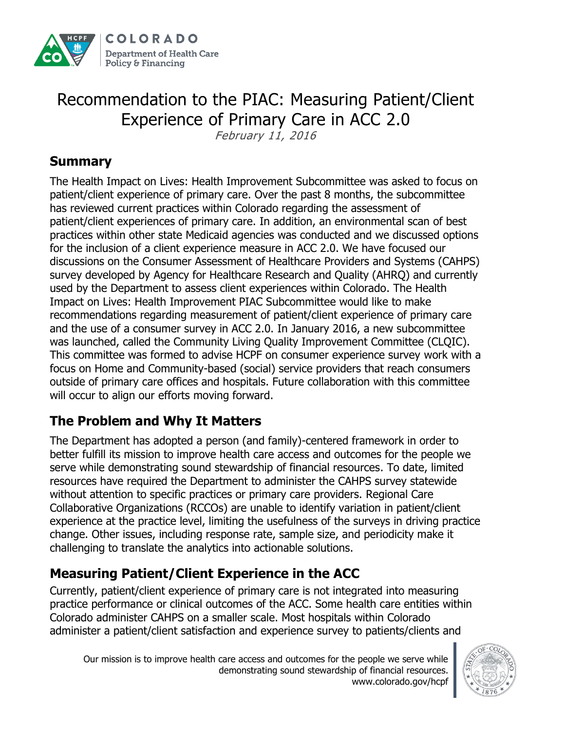

# Recommendation to the PIAC: Measuring Patient/Client Experience of Primary Care in ACC 2.0

February 11, 2016

#### **Summary**

The Health Impact on Lives: Health Improvement Subcommittee was asked to focus on patient/client experience of primary care. Over the past 8 months, the subcommittee has reviewed current practices within Colorado regarding the assessment of patient/client experiences of primary care. In addition, an environmental scan of best practices within other state Medicaid agencies was conducted and we discussed options for the inclusion of a client experience measure in ACC 2.0. We have focused our discussions on the Consumer Assessment of Healthcare Providers and Systems (CAHPS) survey developed by Agency for Healthcare Research and Quality (AHRQ) and currently used by the Department to assess client experiences within Colorado. The Health Impact on Lives: Health Improvement PIAC Subcommittee would like to make recommendations regarding measurement of patient/client experience of primary care and the use of a consumer survey in ACC 2.0. In January 2016, a new subcommittee was launched, called the Community Living Quality Improvement Committee (CLQIC). This committee was formed to advise HCPF on consumer experience survey work with a focus on Home and Community-based (social) service providers that reach consumers outside of primary care offices and hospitals. Future collaboration with this committee will occur to align our efforts moving forward.

### **The Problem and Why It Matters**

The Department has adopted a person (and family)-centered framework in order to better fulfill its mission to improve health care access and outcomes for the people we serve while demonstrating sound stewardship of financial resources. To date, limited resources have required the Department to administer the CAHPS survey statewide without attention to specific practices or primary care providers. Regional Care Collaborative Organizations (RCCOs) are unable to identify variation in patient/client experience at the practice level, limiting the usefulness of the surveys in driving practice change. Other issues, including response rate, sample size, and periodicity make it challenging to translate the analytics into actionable solutions.

### **Measuring Patient/Client Experience in the ACC**

Currently, patient/client experience of primary care is not integrated into measuring practice performance or clinical outcomes of the ACC. Some health care entities within Colorado administer CAHPS on a smaller scale. Most hospitals within Colorado administer a patient/client satisfaction and experience survey to patients/clients and

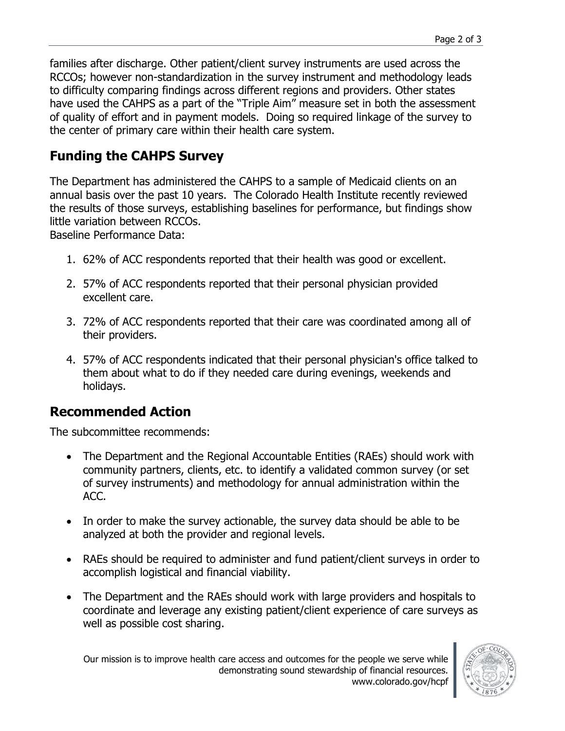## **Funding the CAHPS Survey**

The Department has administered the CAHPS to a sample of Medicaid clients on an annual basis over the past 10 years. The Colorado Health Institute recently reviewed the results of those surveys, establishing baselines for performance, but findings show little variation between RCCOs.

Baseline Performance Data:

- 1. 62% of ACC respondents reported that their health was good or excellent.
- 2. 57% of ACC respondents reported that their personal physician provided excellent care.
- 3. 72% of ACC respondents reported that their care was coordinated among all of their providers.
- 4. 57% of ACC respondents indicated that their personal physician's office talked to them about what to do if they needed care during evenings, weekends and holidays.

#### **Recommended Action**

The subcommittee recommends:

- The Department and the Regional Accountable Entities (RAEs) should work with community partners, clients, etc. to identify a validated common survey (or set of survey instruments) and methodology for annual administration within the ACC.
- In order to make the survey actionable, the survey data should be able to be analyzed at both the provider and regional levels.
- RAEs should be required to administer and fund patient/client surveys in order to accomplish logistical and financial viability.
- The Department and the RAEs should work with large providers and hospitals to coordinate and leverage any existing patient/client experience of care surveys as well as possible cost sharing.